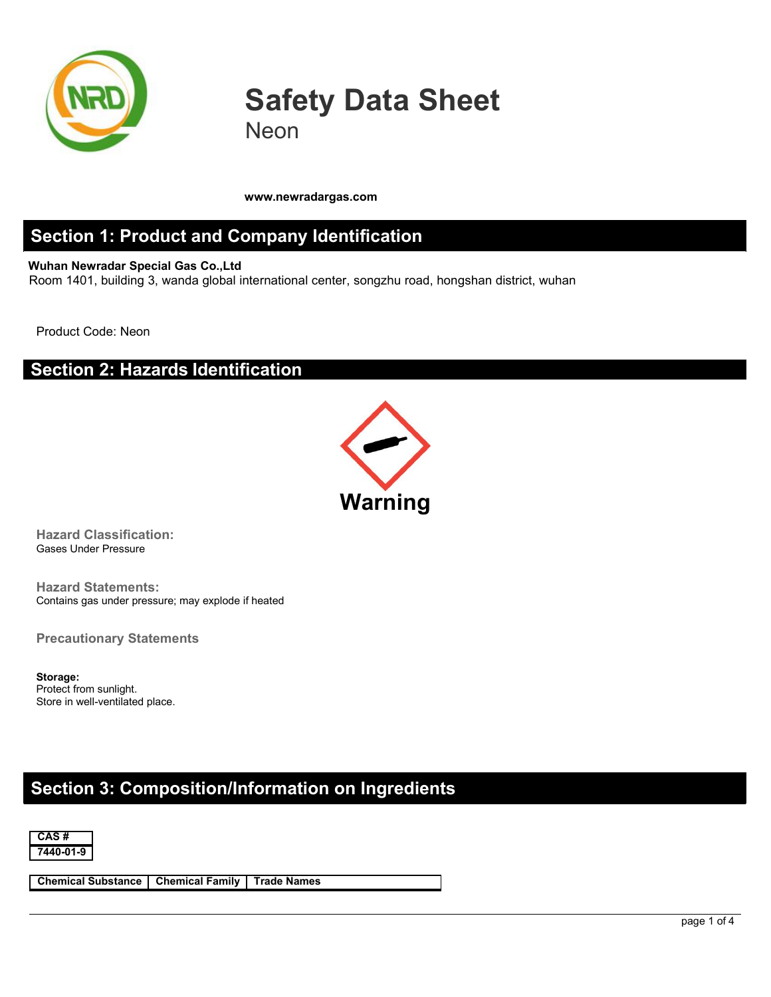

# **Safety Data Sheet** Neon

**www.newradargas.com**

#### **Section 1: Product and Company Identification**

**Wuhan Newradar Special Gas Co.,Ltd** Room 1401, building 3, wanda global international center, songzhu road, hongshan district, wuhan

Product Code: Neon

#### **Section 2: Hazards Identification**



**Hazard Classification:** Gases Under Pressure

**Hazard Statements:** Contains gas under pressure; may explode if heated

**Precautionary Statements**

**Storage:** Protect from sunlight. Store in well-ventilated place.

### **Section 3: Composition/Information on Ingredients**



**Chemical Substance Chemical Family Trade Names**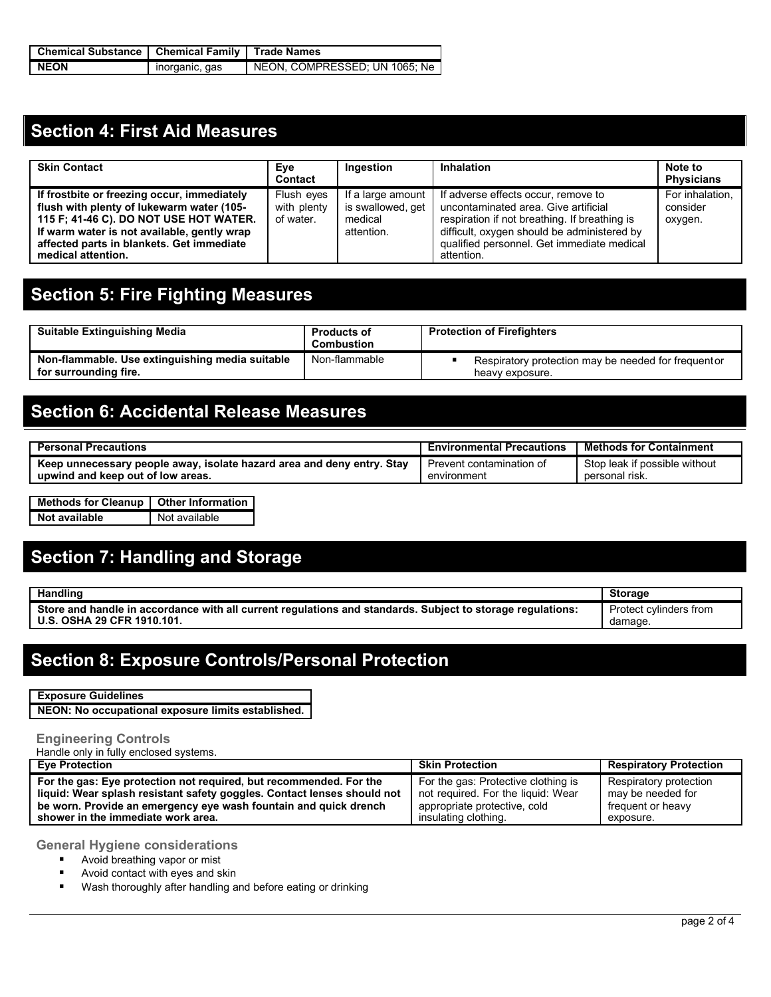| Chemical Substance   Chemical Family   Trade Names |                |                               |  |  |
|----------------------------------------------------|----------------|-------------------------------|--|--|
| <b>NEON</b>                                        | inorganic, gas | NEON, COMPRESSED, UN 1065, Ne |  |  |

### **Section 4: First Aid Measures**

| <b>Skin Contact</b>                                                                                                                                                                                                                                  | Eye<br>Contact                         | Ingestion                                                       | Inhalation                                                                                                                                                                                                                              | Note to<br><b>Physicians</b>           |
|------------------------------------------------------------------------------------------------------------------------------------------------------------------------------------------------------------------------------------------------------|----------------------------------------|-----------------------------------------------------------------|-----------------------------------------------------------------------------------------------------------------------------------------------------------------------------------------------------------------------------------------|----------------------------------------|
| If frostbite or freezing occur, immediately<br>flush with plenty of lukewarm water (105-<br>115 F; 41-46 C). DO NOT USE HOT WATER.<br>If warm water is not available, gently wrap<br>affected parts in blankets. Get immediate<br>medical attention. | Flush eyes<br>with plenty<br>of water. | If a large amount<br>is swallowed, get<br>medical<br>attention. | If adverse effects occur, remove to<br>uncontaminated area. Give artificial<br>respiration if not breathing. If breathing is<br>difficult, oxygen should be administered by<br>qualified personnel. Get immediate medical<br>attention. | For inhalation.<br>consider<br>oxygen. |

# **Section 5: Fire Fighting Measures**

| <b>Suitable Extinguishing Media</b>                                      | <b>Products of</b><br><b>Combustion</b> | <b>Protection of Firefighters</b>                                       |  |
|--------------------------------------------------------------------------|-----------------------------------------|-------------------------------------------------------------------------|--|
| Non-flammable. Use extinguishing media suitable<br>for surrounding fire. | Non-flammable                           | Respiratory protection may be needed for frequent or<br>heavy exposure. |  |

## **Section 6: Accidental Release Measures**

| <b>Personal Precautions</b>                                            | <b>Environmental Precautions</b> | <b>Methods for Containment</b> |
|------------------------------------------------------------------------|----------------------------------|--------------------------------|
| Keep unnecessary people away, isolate hazard area and deny entry. Stay | Prevent contamination of         | Stop leak if possible without  |
| upwind and keep out of low areas.                                      | environment                      | personal risk.                 |

| Methods for Cleanup   Other Information |               |
|-----------------------------------------|---------------|
| Not available                           | Not available |

## **Section 7: Handling and Storage**

| <b>Handling</b>                                                                                                                                                                          | Storage                          |  |
|------------------------------------------------------------------------------------------------------------------------------------------------------------------------------------------|----------------------------------|--|
| <b>Store</b><br>e and handle in accordance with all current requlations and standards.<br>↑ requlations:<br>. Subiect to storage <sup>.</sup><br>.29 CFR 1910.101.<br><b>OSHA</b><br>U.S | Protect cylinders from<br>damage |  |

#### **Section 8: Exposure Controls/Personal Protection**

**Exposure Guidelines**

**NEON: No occupational exposure limits established.**

#### **Engineering Controls**

Handle only in fully enclosed systems.

| <b>Eve Protection</b>                                                   | <b>Skin Protection</b>              | <b>Respiratory Protection</b> |
|-------------------------------------------------------------------------|-------------------------------------|-------------------------------|
| For the gas: Eye protection not required, but recommended. For the      | For the gas: Protective clothing is | Respiratory protection        |
| liquid: Wear splash resistant safety goggles. Contact lenses should not | not required. For the liquid: Wear  | may be needed for             |
| be worn. Provide an emergency eye wash fountain and quick drench        | appropriate protective, cold        | frequent or heavy             |
| shower in the immediate work area.                                      | insulating clothing.                | exposure.                     |

**General Hygiene considerations**

- **Avoid breathing vapor or mist**
- **Avoid contact with eyes and skin**
- **Wash thoroughly after handling and before eating or drinking**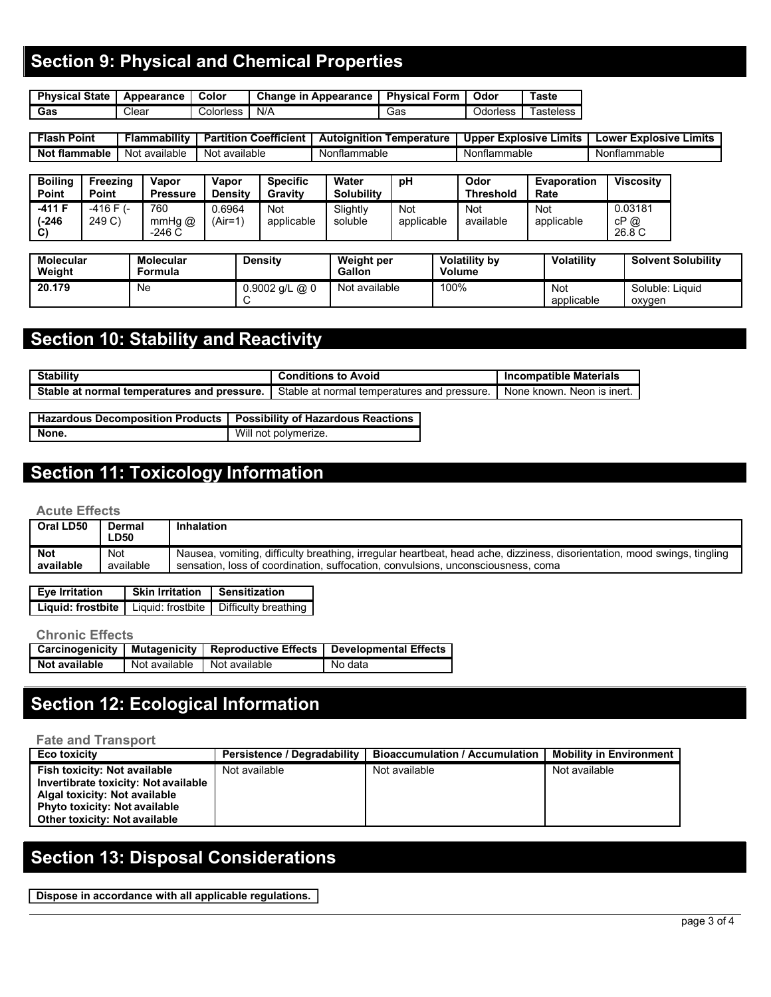## **Section 9: Physical and Chemical Properties**

| <b>Physical State</b> | Appearance | Color     | Change in<br><b>Appearance</b> | Form<br>Physical | Odor     | Гaste     |
|-----------------------|------------|-----------|--------------------------------|------------------|----------|-----------|
| Gas                   | Clear      | Colorless | N/A                            | Gas              | Odorless | Fasteless |

| Point<br>. lash        | <b>Flammability</b> | <b>Coefficient</b><br>.<br>rtition | .<br>Autolanition<br>Temperature | Upper<br>—∡plosive ' ⊺<br>Limits | ≣xnlosive<br>.imits<br>_owe <sup>.</sup> |
|------------------------|---------------------|------------------------------------|----------------------------------|----------------------------------|------------------------------------------|
| <b>flammable</b><br>NΟ | ot available<br>Nο  | available<br>N01                   | Nontlammable                     | Nonflammable                     | Nonflammable                             |

| <b>Boiling</b><br><b>Point</b>     | Freezing<br>Point  | Vapor<br><b>Pressure</b> | Vapor<br><b>Density</b> | <b>Specific</b><br>Gravity | Water<br><b>Solubility</b> | рH                | Odor<br><b>Threshold</b> | <b>Evaporation</b><br>Rate | <b>Viscosity</b>          |
|------------------------------------|--------------------|--------------------------|-------------------------|----------------------------|----------------------------|-------------------|--------------------------|----------------------------|---------------------------|
| -411 F<br>$(-246)$<br>$\mathbf{C}$ | -416 F (-<br>249 C | 760<br>mmHg@<br>$-246C$  | 0.6964<br>(Air=1`       | Not<br>applicable          | Slightly<br>soluble        | Not<br>applicable | Not<br>available         | Not<br>applicable          | 0.03181<br>cP @<br>26.8 C |

| Molecular<br>Weight | <b>Molecular</b><br>Formula | <b>Density</b>   | Weight per<br>Gallon | <b>Volatility by</b><br><b>Volume</b> | <b>Volatility</b> | <b>Solvent Solubility</b> |
|---------------------|-----------------------------|------------------|----------------------|---------------------------------------|-------------------|---------------------------|
| 20.179              | Ne                          | $0.9002$ g/L @ 0 | Not available        | 100%                                  | Not<br>applicable | Soluble: Liquid<br>oxyger |

## **Section 10: Stability and Reactivity**

| <b>Stability</b>                                                   | .<br>Conditions<br>to<br>، Avoic              | <b>Incompatible Materials</b>                       |
|--------------------------------------------------------------------|-----------------------------------------------|-----------------------------------------------------|
| <b>Stable</b><br>pressure.<br>l temperatures and<br>t normal<br>at | Stable at normal temperatures and<br>pressure | is inert.<br><b>None</b><br><b>Neon</b><br>≧ known. |

| Hazardous Decomposition Products   Possibility of Hazardous Reactions |                      |
|-----------------------------------------------------------------------|----------------------|
| None.                                                                 | Will not polymerize. |

### **Section 11: Toxicology Information**

#### **Acute Effects**

| <b>Not</b><br>Nausea, vomiting, difficulty breathing, irregular heartbeat, head ache, dizziness, disorientation, mood swings, tingling<br>Not<br>available<br>available<br>sensation, loss of coordination, suffocation, convulsions, unconsciousness, coma | Oral LD50 | Dermal<br>LD50 | <b>Inhalation</b> |
|-------------------------------------------------------------------------------------------------------------------------------------------------------------------------------------------------------------------------------------------------------------|-----------|----------------|-------------------|
|                                                                                                                                                                                                                                                             |           |                |                   |

| <b>Eve Irritation</b> | <b>Skin Irritation</b> | <b>Sensitization</b>                                         |
|-----------------------|------------------------|--------------------------------------------------------------|
|                       |                        | Liquid: frostbite   Liquid: frostbite   Difficulty breathing |

#### **Chronic Effects**

|                      |                                 | Carcinogenicity   Mutagenicity   Reproductive Effects   Developmental Effects_ |
|----------------------|---------------------------------|--------------------------------------------------------------------------------|
| <b>Not available</b> | I Not available I Not available | No data                                                                        |

# **Section 12: Ecological Information**

#### **Fate and Transport**

| <b>Eco toxicity</b>                  | Persistence / Degradability | Bioaccumulation / Accumulation | <b>Mobility in Environment</b> |
|--------------------------------------|-----------------------------|--------------------------------|--------------------------------|
| <b>Fish toxicity: Not available</b>  | Not available               | Not available                  | Not available                  |
| Invertibrate toxicity: Not available |                             |                                |                                |
| Algal toxicity: Not available        |                             |                                |                                |
| <b>Phyto toxicity: Not available</b> |                             |                                |                                |
| Other toxicity: Not available        |                             |                                |                                |

# **Section 13: Disposal Considerations**

**Dispose in accordance with all applicable regulations.**